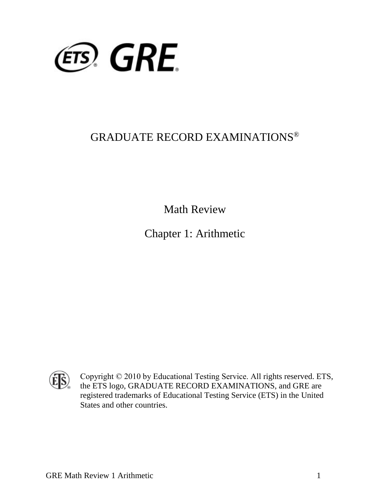

## GRADUATE RECORD EXAMINATIONS®

Math Review

Chapter 1: Arithmetic



Copyright © 2010 by Educational Testing Service. All rights reserved. ETS, the ETS logo, GRADUATE RECORD EXAMINATIONS, and GRE are registered trademarks of Educational Testing Service (ETS) in the United States and other countries.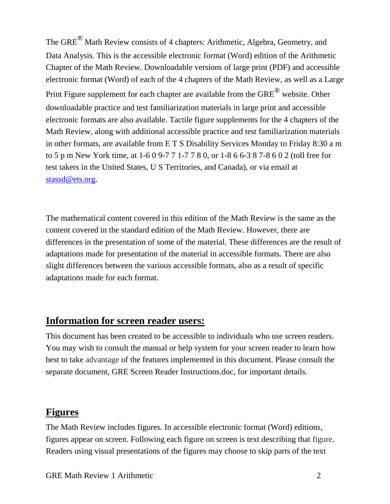The GRE® Math Review consists of 4 chapters: Arithmetic, Algebra, Geometry, and Data Analysis. This is the accessible electronic format (Word) edition of the Arithmetic Chapter of the Math Review. Downloadable versions of large print (PDF) and accessible electronic format (Word) of each of the 4 chapters of the Math Review, as well as a Large Print Figure supplement for each chapter are available from the GRE<sup>®</sup> website. Other downloadable practice and test familiarization materials in large print and accessible electronic formats are also available. Tactile figure supplements for the 4 chapters of the Math Review, along with additional accessible practice and test familiarization materials in other formats, are available from E T S Disability Services Monday to Friday 8:30 a m to 5 p m New York time, at 1-6 0 9-7 7 1-7 7 8 0, or 1-8 6 6-3 8 7-8 6 0 2 (toll free for test takers in the United States, U S Territories, and Canada), or via email at [stassd@ets.org.](mailto:stassd@ets.org)

The mathematical content covered in this edition of the Math Review is the same as the content covered in the standard edition of the Math Review. However, there are differences in the presentation of some of the material. These differences are the result of adaptations made for presentation of the material in accessible formats. There are also slight differences between the various accessible formats, also as a result of specific adaptations made for each format.

#### **Information for screen reader users:**

This document has been created to be accessible to individuals who use screen readers. You may wish to consult the manual or help system for your screen reader to learn how best to take advantage of the features implemented in this document. Please consult the separate document, GRE Screen Reader Instructions.doc, for important details.

### **Figures**

The Math Review includes figures. In accessible electronic format (Word) editions, figures appear on screen. Following each figure on screen is text describing that figure. Readers using visual presentations of the figures may choose to skip parts of the text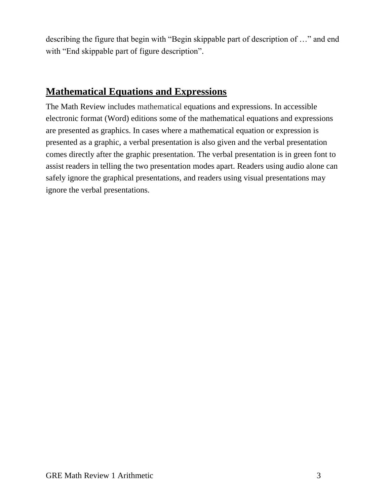describing the figure that begin with "Begin skippable part of description of …" and end with "End skippable part of figure description".

### **Mathematical Equations and Expressions**

The Math Review includes mathematical equations and expressions. In accessible electronic format (Word) editions some of the mathematical equations and expressions are presented as graphics. In cases where a mathematical equation or expression is presented as a graphic, a verbal presentation is also given and the verbal presentation comes directly after the graphic presentation. The verbal presentation is in green font to assist readers in telling the two presentation modes apart. Readers using audio alone can safely ignore the graphical presentations, and readers using visual presentations may ignore the verbal presentations.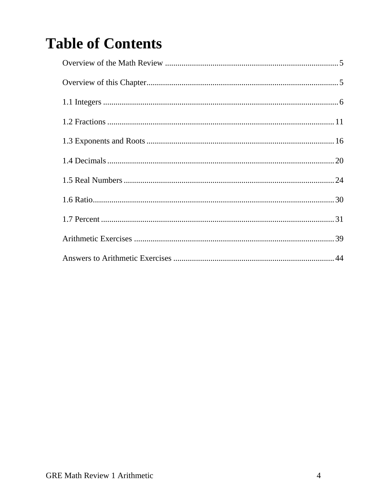# **Table of Contents**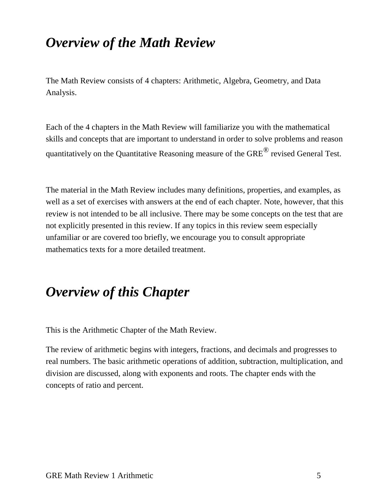# <span id="page-4-0"></span>*Overview of the Math Review*

The Math Review consists of 4 chapters: Arithmetic, Algebra, Geometry, and Data Analysis.

Each of the 4 chapters in the Math Review will familiarize you with the mathematical skills and concepts that are important to understand in order to solve problems and reason quantitatively on the Quantitative Reasoning measure of the GRE<sup>®</sup> revised General Test.

The material in the Math Review includes many definitions, properties, and examples, as well as a set of exercises with answers at the end of each chapter. Note, however, that this review is not intended to be all inclusive. There may be some concepts on the test that are not explicitly presented in this review. If any topics in this review seem especially unfamiliar or are covered too briefly, we encourage you to consult appropriate mathematics texts for a more detailed treatment.

# <span id="page-4-1"></span>*Overview of this Chapter*

This is the Arithmetic Chapter of the Math Review.

The review of arithmetic begins with integers, fractions, and decimals and progresses to real numbers. The basic arithmetic operations of addition, subtraction, multiplication, and division are discussed, along with exponents and roots. The chapter ends with the concepts of ratio and percent.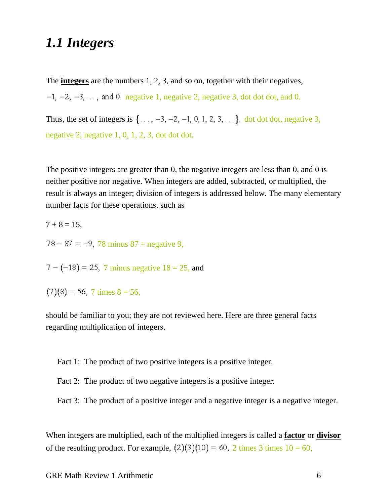### <span id="page-5-0"></span>*1.1 Integers*

The **integers** are the numbers 1, 2, 3, and so on, together with their negatives,

 $-1$ ,  $-2$ ,  $-3$ ,  $\ldots$ , and 0. negative 1, negative 2, negative 3, dot dot dot, and 0.

Thus, the set of integers is  $\{\ldots, -3, -2, -1, 0, 1, 2, 3, \ldots\}$  dot dot, negative 3, negative 2, negative 1, 0, 1, 2, 3, dot dot dot.

The positive integers are greater than 0, the negative integers are less than 0, and 0 is neither positive nor negative. When integers are added, subtracted, or multiplied, the result is always an integer; division of integers is addressed below. The many elementary number facts for these operations, such as

 $7 + 8 = 15$ ,  $78 - 87 = -9$ , 78 minus  $87 =$  negative 9,

 $7 - (-18) = 25$ , 7 minus negative  $18 = 25$ , and

 $(7)(8) = 56$ , 7 times  $8 = 56$ ,

should be familiar to you; they are not reviewed here. Here are three general facts regarding multiplication of integers.

Fact 1: The product of two positive integers is a positive integer.

Fact 2: The product of two negative integers is a positive integer.

Fact 3: The product of a positive integer and a negative integer is a negative integer.

When integers are multiplied, each of the multiplied integers is called a **factor** or **divisor** of the resulting product. For example,  $(2)(3)(10) = 60$ , 2 times 3 times  $10 = 60$ ,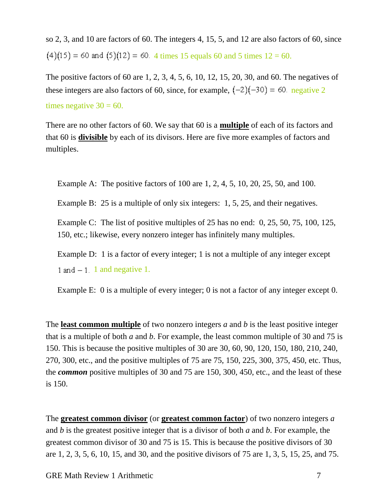so 2, 3, and 10 are factors of 60. The integers 4, 15, 5, and 12 are also factors of 60, since  $(4)(15) = 60$  and  $(5)(12) = 60$ . 4 times 15 equals 60 and 5 times  $12 = 60$ .

The positive factors of 60 are 1, 2, 3, 4, 5, 6, 10, 12, 15, 20, 30, and 60. The negatives of these integers are also factors of 60, since, for example,  $(-2)(-30) = 60$ . negative 2 times negative  $30 = 60$ .

There are no other factors of 60. We say that 60 is a **multiple** of each of its factors and that 60 is **divisible** by each of its divisors. Here are five more examples of factors and multiples.

Example A: The positive factors of 100 are 1, 2, 4, 5, 10, 20, 25, 50, and 100.

Example B: 25 is a multiple of only six integers: 1, 5, 25, and their negatives.

Example C: The list of positive multiples of 25 has no end: 0, 25, 50, 75, 100, 125, 150, etc.; likewise, every nonzero integer has infinitely many multiples.

Example D: 1 is a factor of every integer; 1 is not a multiple of any integer except 1 and  $-1$ . 1 and negative 1.

Example E: 0 is a multiple of every integer; 0 is not a factor of any integer except 0.

The **least common multiple** of two nonzero integers *a* and *b* is the least positive integer that is a multiple of both *a* and *b*. For example, the least common multiple of 30 and 75 is 150. This is because the positive multiples of 30 are 30, 60, 90, 120, 150, 180, 210, 240, 270, 300, etc., and the positive multiples of 75 are 75, 150, 225, 300, 375, 450, etc. Thus, the *common* positive multiples of 30 and 75 are 150, 300, 450, etc., and the least of these is 150.

The **greatest common divisor** (or **greatest common factor**) of two nonzero integers *a* and *b* is the greatest positive integer that is a divisor of both *a* and *b*. For example, the greatest common divisor of 30 and 75 is 15. This is because the positive divisors of 30 are 1, 2, 3, 5, 6, 10, 15, and 30, and the positive divisors of 75 are 1, 3, 5, 15, 25, and 75.

GRE Math Review 1 Arithmetic 7 and 7 and 7 and 7 and 7 and 7 and 7 and 7 and 7 and 7 and 7 and 7 and 7 and 7 and 7 and 7 and 7 and 7 and 7 and 7 and 7 and 7 and 7 and 7 and 7 and 7 and 7 and 7 and 7 and 7 and 7 and 7 and 7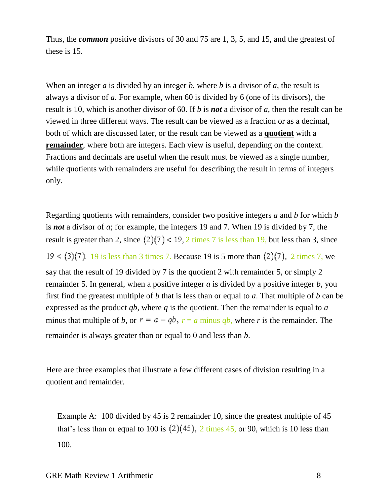Thus, the *common* positive divisors of 30 and 75 are 1, 3, 5, and 15, and the greatest of these is 15.

When an integer *a* is divided by an integer *b*, where *b* is a divisor of *a*, the result is always a divisor of *a*. For example, when 60 is divided by 6 (one of its divisors), the result is 10, which is another divisor of 60. If *b* is *not* a divisor of *a*, then the result can be viewed in three different ways. The result can be viewed as a fraction or as a decimal, both of which are discussed later, or the result can be viewed as a **quotient** with a **remainder**, where both are integers. Each view is useful, depending on the context. Fractions and decimals are useful when the result must be viewed as a single number, while quotients with remainders are useful for describing the result in terms of integers only.

Regarding quotients with remainders, consider two positive integers *a* and *b* for which *b* is *not* a divisor of *a*; for example, the integers 19 and 7. When 19 is divided by 7, the result is greater than 2, since  $(2)(7) < 19$ , 2 times 7 is less than 19, but less than 3, since 19 < (3)(7). 19 is less than 3 times 7. Because 19 is 5 more than  $(2)(7)$ , 2 times 7, we say that the result of 19 divided by 7 is the quotient 2 with remainder 5, or simply 2 remainder 5. In general, when a positive integer *a* is divided by a positive integer *b*, you first find the greatest multiple of *b* that is less than or equal to *a*. That multiple of *b* can be expressed as the product *qb*, where *q* is the quotient. Then the remainder is equal to *a* minus that multiple of *b*, or  $r = a - qb$ ,  $r = a$  minus *qb*, where *r* is the remainder. The remainder is always greater than or equal to 0 and less than *b*.

Here are three examples that illustrate a few different cases of division resulting in a quotient and remainder.

Example A: 100 divided by 45 is 2 remainder 10, since the greatest multiple of 45 that's less than or equal to 100 is  $(2)(45)$ , 2 times 45, or 90, which is 10 less than 100.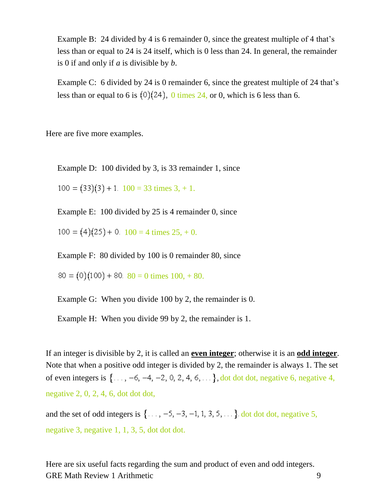Example B: 24 divided by 4 is 6 remainder 0, since the greatest multiple of 4 that's less than or equal to 24 is 24 itself, which is 0 less than 24. In general, the remainder is 0 if and only if *a* is divisible by *b*.

Example C: 6 divided by 24 is 0 remainder 6, since the greatest multiple of 24 that's less than or equal to 6 is  $(0)(24)$ , 0 times 24, or 0, which is 6 less than 6.

Here are five more examples.

Example D: 100 divided by 3, is 33 remainder 1, since

 $100 = (33)(3) + 1.$   $100 = 33$  times 3, + 1.

Example E: 100 divided by 25 is 4 remainder 0, since

 $100 = (4)(25) + 0.$   $100 = 4$  times  $25, +0.$ 

Example F: 80 divided by 100 is 0 remainder 80, since

 $80 = (0)(100) + 80.$   $80 = 0$  times  $100, +80.$ 

Example G: When you divide 100 by 2, the remainder is 0.

Example H: When you divide 99 by 2, the remainder is 1.

If an integer is divisible by 2, it is called an **even integer**; otherwise it is an **odd integer**. Note that when a positive odd integer is divided by 2, the remainder is always 1. The set of even integers is  $\{\ldots, -6, -4, -2, 0, 2, 4, 6, \ldots\}$ , dot dot, negative 6, negative 4, negative 2, 0, 2, 4, 6, dot dot dot,

and the set of odd integers is  $\{\ldots, -5, -3, -1, 1, 3, 5, \ldots\}$  dot dot, negative 5, negative 3, negative 1, 1, 3, 5, dot dot dot.

GRE Math Review 1 Arithmetic 9 Here are six useful facts regarding the sum and product of even and odd integers.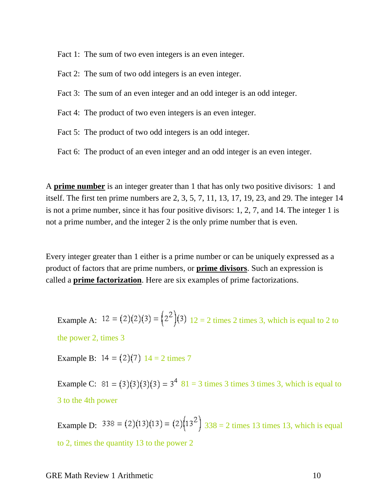Fact 1: The sum of two even integers is an even integer.

Fact 2: The sum of two odd integers is an even integer.

Fact 3: The sum of an even integer and an odd integer is an odd integer.

Fact 4: The product of two even integers is an even integer.

Fact 5: The product of two odd integers is an odd integer.

Fact 6: The product of an even integer and an odd integer is an even integer.

A **prime number** is an integer greater than 1 that has only two positive divisors: 1 and itself. The first ten prime numbers are 2, 3, 5, 7, 11, 13, 17, 19, 23, and 29. The integer 14 is not a prime number, since it has four positive divisors: 1, 2, 7, and 14. The integer 1 is not a prime number, and the integer 2 is the only prime number that is even.

Every integer greater than 1 either is a prime number or can be uniquely expressed as a product of factors that are prime numbers, or **prime divisors**. Such an expression is called a **prime factorization**. Here are six examples of prime factorizations.

Example A:  $12 = (2)(2)(3) = (2^2)(3)$   $12 = 2$  times 2 times 3, which is equal to 2 to the power 2, times 3

Example B:  $14 = (2)(7)$   $14 = 2$  times 7

Example C:  $81 = (3)(3)(3)(3) = 3<sup>4</sup> 81 = 3$  times 3 times 3, which is equal to 3 to the 4th power

Example D:  $338 = (2)(13)(13) = (2)(13)^2$   $338 = 2$  times 13 times 13, which is equal to 2, times the quantity 13 to the power 2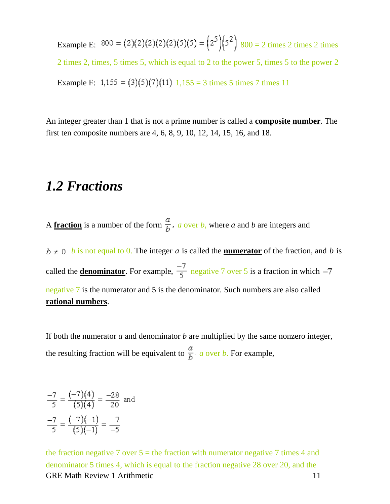Example E:  $800 = (2)(2)(2)(2)(5)(5) = (2^5)(5^2) 800 = 2 \text{ times } 2 \text{ times } 2 \text{ times } 2$ 2 times 2, times, 5 times 5, which is equal to 2 to the power 5, times 5 to the power 2 Example F:  $1,155 = (3)(5)(7)(11)$   $1,155 = 3$  times 5 times 7 times 11

An integer greater than 1 that is not a prime number is called a **composite number**. The first ten composite numbers are 4, 6, 8, 9, 10, 12, 14, 15, 16, and 18.

### <span id="page-10-0"></span>*1.2 Fractions*

A **fraction** is a number of the form  $\frac{a}{b}$ , a over *b*, where a and *b* are integers and

 $b \neq 0$  *b* is not equal to 0. The integer *a* is called the **numerator** of the fraction, and *b* is called the **<u>denominator</u>**. For example,  $\frac{-7}{5}$  negative 7 over 5 is a fraction in which  $-7$ negative 7 is the numerator and 5 is the denominator. Such numbers are also called **rational numbers**.

If both the numerator *a* and denominator *b* are multiplied by the same nonzero integer, the resulting fraction will be equivalent to  $\frac{a}{b}$  *a* over *b*. For example,

$$
\frac{-7}{5} = \frac{(-7)(4)}{(5)(4)} = \frac{-28}{20} \text{ and}
$$

$$
\frac{-7}{5} = \frac{(-7)(-1)}{(5)(-1)} = \frac{7}{-5}
$$

GRE Math Review 1 Arithmetic 11 the fraction negative 7 over  $5 =$  the fraction with numerator negative 7 times 4 and denominator 5 times 4, which is equal to the fraction negative 28 over 20, and the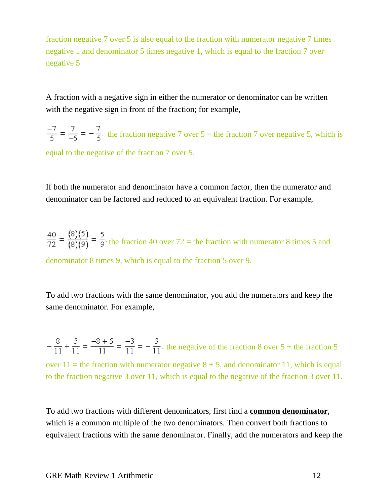fraction negative 7 over 5 is also equal to the fraction with numerator negative 7 times negative 1 and denominator 5 times negative 1, which is equal to the fraction 7 over negative 5

A fraction with a negative sign in either the numerator or denominator can be written with the negative sign in front of the fraction; for example,

 $\frac{-7}{5} = \frac{7}{-5} = -\frac{7}{5}$  the fraction negative 7 over 5 = the fraction 7 over negative 5, which is equal to the negative of the fraction 7 over 5.

If both the numerator and denominator have a common factor, then the numerator and denominator can be factored and reduced to an equivalent fraction. For example,

 $\frac{40}{72} = \frac{(8)(5)}{(8)(9)} = \frac{5}{9}$  the fraction 40 over 72 = the fraction with numerator 8 times 5 and denominator 8 times 9, which is equal to the fraction 5 over 9.

To add two fractions with the same denominator, you add the numerators and keep the same denominator. For example,

 $-\frac{8}{11} + \frac{5}{11} = \frac{-8+5}{11} = -\frac{3}{11}$ . the negative of the fraction 8 over 5 + the fraction 5 over  $11$  = the fraction with numerator negative  $8 + 5$ , and denominator 11, which is equal to the fraction negative 3 over 11, which is equal to the negative of the fraction 3 over 11.

To add two fractions with different denominators, first find a **common denominator**, which is a common multiple of the two denominators. Then convert both fractions to equivalent fractions with the same denominator. Finally, add the numerators and keep the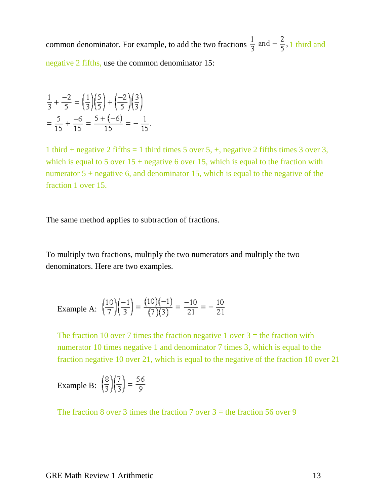common denominator. For example, to add the two fractions  $\frac{1}{3}$  and  $-\frac{2}{5}$ , 1 third and negative 2 fifths, use the common denominator 15:

$$
\frac{1}{3} + \frac{-2}{5} = \left(\frac{1}{3}\right)\left(\frac{5}{5}\right) + \left(\frac{-2}{5}\right)\left(\frac{3}{3}\right)
$$

$$
= \frac{5}{15} + \frac{-6}{15} = \frac{5 + (-6)}{15} = -\frac{1}{15}.
$$

1 third + negative 2 fifths = 1 third times 5 over 5, +, negative 2 fifths times 3 over 3, which is equal to 5 over  $15$  + negative 6 over 15, which is equal to the fraction with numerator  $5 +$  negative 6, and denominator 15, which is equal to the negative of the fraction 1 over 15.

The same method applies to subtraction of fractions.

To multiply two fractions, multiply the two numerators and multiply the two denominators. Here are two examples.

Example A: 
$$
\left(\frac{10}{7}\right)\left(\frac{-1}{3}\right) = \frac{(10)(-1)}{(7)(3)} = \frac{-10}{21} = -\frac{10}{21}
$$

The fraction 10 over 7 times the fraction negative 1 over  $3 =$  the fraction with numerator 10 times negative 1 and denominator 7 times 3, which is equal to the fraction negative 10 over 21, which is equal to the negative of the fraction 10 over 21

Example B: 
$$
\left(\frac{8}{3}\right)\left(\frac{7}{3}\right) = \frac{56}{9}
$$

The fraction 8 over 3 times the fraction 7 over  $3 =$  the fraction 56 over 9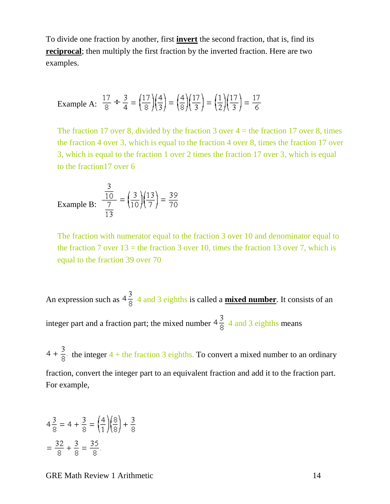To divide one fraction by another, first **invert** the second fraction, that is, find its **reciprocal**; then multiply the first fraction by the inverted fraction. Here are two examples.

Example A: 
$$
\frac{17}{8} \div \frac{3}{4} = \left(\frac{17}{8}\right)\left(\frac{4}{3}\right) = \left(\frac{4}{8}\right)\left(\frac{17}{3}\right) = \left(\frac{1}{2}\right)\left(\frac{17}{3}\right) = \frac{17}{6}
$$

The fraction 17 over 8, divided by the fraction 3 over  $4 =$  the fraction 17 over 8, times the fraction 4 over 3, which is equal to the fraction 4 over 8, times the fraction 17 over 3, which is equal to the fraction 1 over 2 times the fraction 17 over 3, which is equal to the fraction17 over 6

Example B: 
$$
\frac{\frac{3}{10}}{\frac{7}{13}} = \left(\frac{3}{10}\right)\left(\frac{13}{7}\right) = \frac{39}{70}
$$

The fraction with numerator equal to the fraction 3 over 10 and denominator equal to the fraction 7 over  $13$  = the fraction 3 over 10, times the fraction 13 over 7, which is equal to the fraction 39 over 70

An expression such as  $4\frac{3}{8}$  4 and 3 eighths is called a **mixed number**. It consists of an integer part and a fraction part; the mixed number  $4\frac{3}{8}$  4 and 3 eighths means

 $4 + \frac{3}{8}$  the integer 4 + the fraction 3 eighths. To convert a mixed number to an ordinary fraction, convert the integer part to an equivalent fraction and add it to the fraction part. For example,

$$
4\frac{3}{8} = 4 + \frac{3}{8} = \left(\frac{4}{1}\right)\left(\frac{8}{8}\right) + \frac{3}{8}
$$

$$
= \frac{32}{8} + \frac{3}{8} = \frac{35}{8}.
$$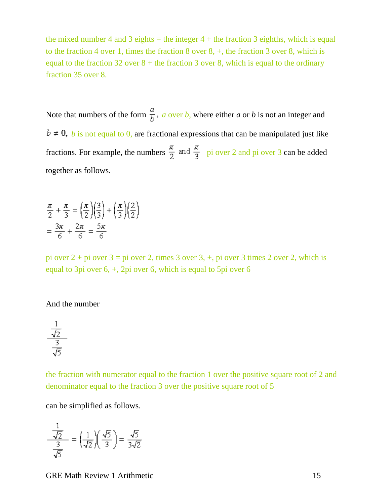the mixed number 4 and 3 eights  $=$  the integer 4 + the fraction 3 eighths, which is equal to the fraction 4 over 1, times the fraction 8 over 8, +, the fraction 3 over 8, which is equal to the fraction  $32$  over  $8 +$  the fraction 3 over 8, which is equal to the ordinary fraction 35 over 8.

Note that numbers of the form  $\frac{a}{b}$ , *a* over *b*, where either *a* or *b* is not an integer and  $b \neq 0$ , *b* is not equal to 0, are fractional expressions that can be manipulated just like fractions. For example, the numbers  $\frac{\pi}{2}$  and  $\frac{\pi}{3}$  pi over 2 and pi over 3 can be added together as follows.

$$
\frac{\pi}{2} + \frac{\pi}{3} = \left(\frac{\pi}{2}\right)\left(\frac{3}{3}\right) + \left(\frac{\pi}{3}\right)\left(\frac{2}{2}\right)
$$

$$
= \frac{3\pi}{6} + \frac{2\pi}{6} = \frac{5\pi}{6}
$$

pi over 2 + pi over 3 = pi over 2, times 3 over 3, +, pi over 3 times 2 over 2, which is equal to 3pi over 6, +, 2pi over 6, which is equal to 5pi over 6

#### And the number



the fraction with numerator equal to the fraction 1 over the positive square root of 2 and denominator equal to the fraction 3 over the positive square root of 5

can be simplified as follows.

$$
\frac{\frac{1}{\sqrt{2}}}{\frac{3}{\sqrt{5}}} = \left(\frac{1}{\sqrt{2}}\right)\left(\frac{\sqrt{5}}{3}\right) = \frac{\sqrt{5}}{3\sqrt{2}}
$$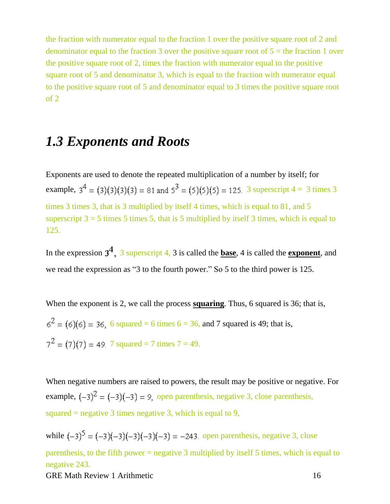the fraction with numerator equal to the fraction 1 over the positive square root of 2 and denominator equal to the fraction 3 over the positive square root of  $5 =$  the fraction 1 over the positive square root of 2, times the fraction with numerator equal to the positive square root of 5 and denominator 3, which is equal to the fraction with numerator equal to the positive square root of 5 and denominator equal to 3 times the positive square root of 2

## <span id="page-15-0"></span>*1.3 Exponents and Roots*

Exponents are used to denote the repeated multiplication of a number by itself; for example,  $3^4 = (3)(3)(3)(3) = 81$  and  $5^3 = (5)(5)(5) = 125$ . 3 superscript  $4 = 3$  times 3 times 3 times 3, that is 3 multiplied by itself 4 times, which is equal to 81, and 5 superscript  $3 = 5$  times 5 times 5, that is 5 multiplied by itself 3 times, which is equal to 125.

In the expression  $3^4$ , 3 superscript 4, 3 is called the **base**, 4 is called the **exponent**, and we read the expression as "3 to the fourth power." So 5 to the third power is 125.

When the exponent is 2, we call the process **squaring**. Thus, 6 squared is 36; that is,  $6^{2} = (6)(6) = 36$ , 6 squared = 6 times 6 = 36, and 7 squared is 49; that is,  $7^2 = (7)(7) = 49.7$  squared = 7 times  $7 = 49.$ 

When negative numbers are raised to powers, the result may be positive or negative. For example,  $(-3)^2 = (-3)(-3) = 9$ , open parenthesis, negative 3, close parenthesis, squared  $=$  negative 3 times negative 3, which is equal to 9,

GRE Math Review 1 Arithmetic 16 while  $(-3)^5 = (-3)(-3)(-3)(-3)(-3) = -243$ . open parenthesis, negative 3, close parenthesis, to the fifth power = negative 3 multiplied by itself 5 times, which is equal to negative 243.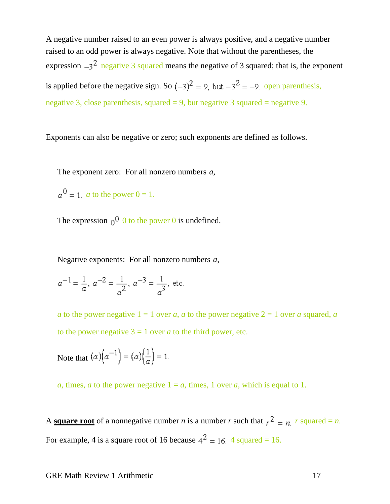A negative number raised to an even power is always positive, and a negative number raised to an odd power is always negative. Note that without the parentheses, the expression  $-3^2$  negative 3 squared means the negative of 3 squared; that is, the exponent is applied before the negative sign. So  $(-3)^2 = 9$ , but  $-3^2 = -9$  open parenthesis, negative 3, close parenthesis, squared  $= 9$ , but negative 3 squared  $=$  negative 9.

Exponents can also be negative or zero; such exponents are defined as follows.

The exponent zero: For all nonzero numbers *a*,

 $a^0 = 1$ . *a* to the power  $0 = 1$ .

The expression  $0^0$  to the power 0 is undefined.

Negative exponents: For all nonzero numbers *a*,

 $a^{-1} = \frac{1}{a}$ ,  $a^{-2} = \frac{1}{a^2}$ ,  $a^{-3} = \frac{1}{a^3}$ , etc.

*a* to the power negative  $1 = 1$  over *a*, *a* to the power negative  $2 = 1$  over *a* squared, *a* to the power negative  $3 = 1$  over *a* to the third power, etc.

Note that  $(a) (a^{-1}) = (a) (\frac{1}{a}) = 1$ .

*a*, times, *a* to the power negative  $1 = a$ , times, 1 over *a*, which is equal to 1.

A **square root** of a nonnegative number *n* is a number *r* such that  $r^2 = n$  *r* squared = *n*. For example, 4 is a square root of 16 because  $4^2 = 16$ . 4 squared = 16.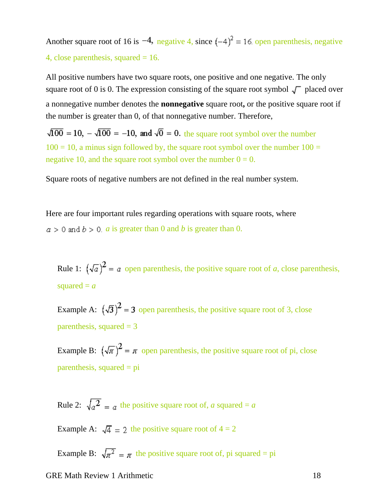Another square root of 16 is  $-4$ , negative 4, since  $(-4)^2 = 16$  open parenthesis, negative 4, close parenthesis, squared  $= 16$ .

All positive numbers have two square roots, one positive and one negative. The only square root of 0 is 0. The expression consisting of the square root symbol  $\sqrt{\phantom{a}}$  placed over a nonnegative number denotes the **nonnegative** square root**,** or the positive square root if the number is greater than 0, of that nonnegative number. Therefore,

 $\sqrt{100}$  = 10,  $-\sqrt{100}$  = -10, and  $\sqrt{0}$  = 0. the square root symbol over the number  $100 = 10$ , a minus sign followed by, the square root symbol over the number  $100 =$ negative 10, and the square root symbol over the number  $0 = 0$ .

Square roots of negative numbers are not defined in the real number system.

Here are four important rules regarding operations with square roots, where  $a > 0$  and  $b > 0$ . *a* is greater than 0 and *b* is greater than 0.

Rule 1:  $(\sqrt{a})^2 = a$  open parenthesis, the positive square root of *a*, close parenthesis, squared  $= a$ 

Example A:  $(\sqrt{3})^2$  = 3 open parenthesis, the positive square root of 3, close parenthesis, squared  $= 3$ 

Example B:  $(\sqrt{\pi})^2 = \pi$  open parenthesis, the positive square root of pi, close  $\beta$  parenthesis, squared = pi

Rule 2:  $\sqrt{a^2} = a$  the positive square root of, *a* squared = *a* 

Example A:  $\sqrt{4} = 2$  the positive square root of  $4 = 2$ 

Example B:  $\sqrt{\pi^2} = \pi$  the positive square root of, pi squared = pi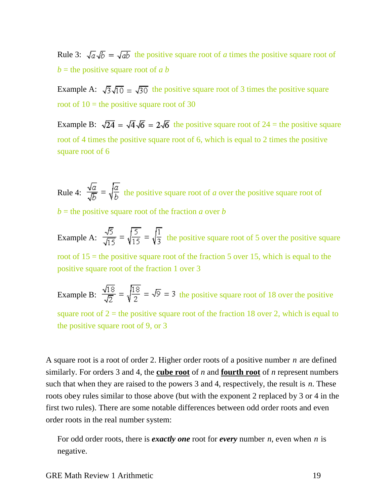Rule 3:  $\sqrt{a}\sqrt{b} = \sqrt{ab}$  the positive square root of *a* times the positive square root of  $b =$  the positive square root of *a b* 

Example A:  $\sqrt{3}\sqrt{10} = \sqrt{30}$  the positive square root of 3 times the positive square root of  $10 =$  the positive square root of 30

Example B:  $\sqrt{24} = \sqrt{4}\sqrt{6} = 2\sqrt{6}$  the positive square root of 24 = the positive square root of 4 times the positive square root of 6, which is equal to 2 times the positive square root of 6

Rule 4:  $\frac{\sqrt{a}}{\sqrt{b}} = \sqrt{\frac{a}{b}}$  the positive square root of *a* over the positive square root of  $b =$  the positive square root of the fraction *a* over *b* 

Example A:  $\frac{\sqrt{5}}{\sqrt{15}} = \sqrt{\frac{5}{15}} = \sqrt{\frac{1}{3}}$  the positive square root of 5 over the positive square root of  $15$  = the positive square root of the fraction 5 over 15, which is equal to the positive square root of the fraction 1 over 3

Example B:  $\frac{\sqrt{18}}{\sqrt{2}} = \sqrt{\frac{18}{2}} = \sqrt{9} = 3$  the positive square root of 18 over the positive square root of  $2 =$  the positive square root of the fraction 18 over 2, which is equal to the positive square root of 9, or 3

A square root is a root of order 2. Higher order roots of a positive number *n* are defined similarly. For orders 3 and 4, the **cube root** of *n* and **fourth root** of *n* represent numbers such that when they are raised to the powers 3 and 4, respectively, the result is *n*. These roots obey rules similar to those above (but with the exponent 2 replaced by 3 or 4 in the first two rules). There are some notable differences between odd order roots and even order roots in the real number system:

For odd order roots, there is *exactly one* root for *every* number *n*, even when *n* is negative.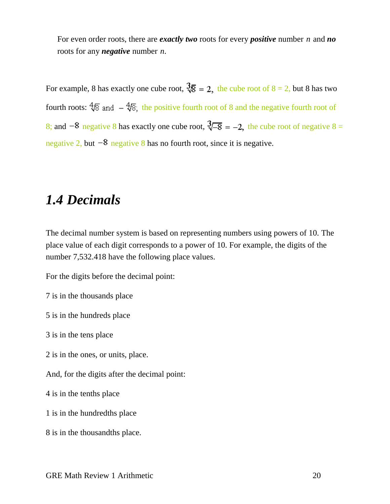For even order roots, there are *exactly two* roots for every *positive* number *n* and *no* roots for any *negative* number *n*.

For example, 8 has exactly one cube root,  $\sqrt[3]{8} = 2$ , the cube root of  $8 = 2$ , but 8 has two fourth roots:  $\sqrt[4]{8}$  and  $-\sqrt[4]{8}$ ; the positive fourth root of 8 and the negative fourth root of 8; and  $-8$  negative 8 has exactly one cube root,  $\sqrt[3]{-8} = -2$ , the cube root of negative 8 = negative 2, but  $-8$  negative 8 has no fourth root, since it is negative.

## <span id="page-19-0"></span>*1.4 Decimals*

The decimal number system is based on representing numbers using powers of 10. The place value of each digit corresponds to a power of 10. For example, the digits of the number 7,532.418 have the following place values.

For the digits before the decimal point:

7 is in the thousands place

5 is in the hundreds place

3 is in the tens place

2 is in the ones, or units, place.

And, for the digits after the decimal point:

4 is in the tenths place

1 is in the hundredths place

8 is in the thousandths place.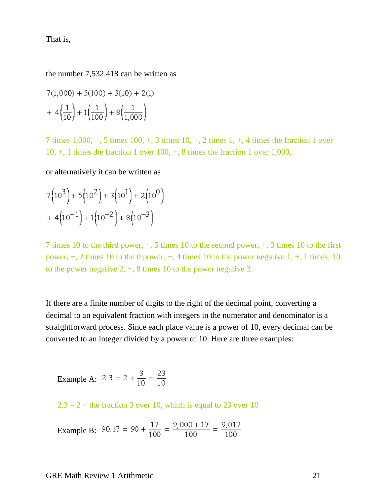That is,

the number 7,532.418 can be written as

$$
7(1,000) + 5(100) + 3(10) + 2(1)
$$
  
+ 
$$
4\left(\frac{1}{10}\right) + 1\left(\frac{1}{100}\right) + 8\left(\frac{1}{1,000}\right)
$$

7 times 1,000, +, 5 times 100, +, 3 times 10, +, 2 times 1, +, 4 times the fraction 1 over  $10, +$ , 1 times the fraction 1 over  $100, +$ , 8 times the fraction 1 over 1,000,

or alternatively it can be written as

$$
7(103) + 5(102) + 3(101) + 2(100)
$$
  
+ 4(10<sup>-1</sup>) + 1(10<sup>-2</sup>) + 8(10<sup>-3</sup>)

7 times 10 to the third power, +, 5 times 10 to the second power, +, 3 times 10 to the first power,  $+$ , 2 times 10 to the 0 power,  $+$ , 4 times 10 to the power negative 1,  $+$ , 1 times, 10 to the power negative 2, +, 8 times 10 to the power negative 3.

If there are a finite number of digits to the right of the decimal point, converting a decimal to an equivalent fraction with integers in the numerator and denominator is a straightforward process. Since each place value is a power of 10, every decimal can be converted to an integer divided by a power of 10. Here are three examples:

Example A:  $2.3 = 2 + \frac{3}{10} = \frac{23}{10}$ 

 $2.3 = 2 +$  the fraction 3 over 10, which is equal to 23 over 10

Example B:  $90.17 = 90 + \frac{17}{100} = \frac{9,000 + 17}{100} = \frac{9,017}{100}$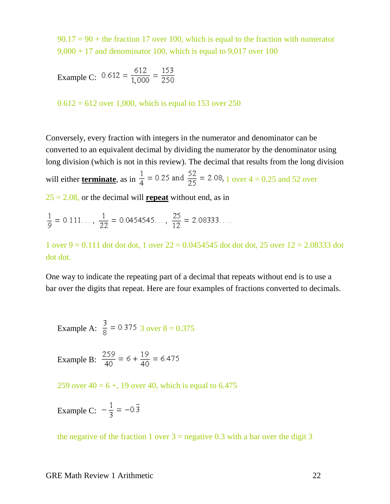$90.17 = 90 +$  the fraction 17 over 100, which is equal to the fraction with numerator  $9,000 + 17$  and denominator 100, which is equal to  $9,017$  over 100

Example C: 
$$
0.612 = \frac{612}{1,000} = \frac{153}{250}
$$

 $0.612 = 612$  over 1,000, which is equal to 153 over 250

Conversely, every fraction with integers in the numerator and denominator can be converted to an equivalent decimal by dividing the numerator by the denominator using long division (which is not in this review). The decimal that results from the long division will either **<u>terminate</u>**, as in  $\frac{1}{4}$  = 0.25 and  $\frac{52}{25}$  = 2.08, 1 over 4 = 0.25 and 52 over

25 = 2.08, or the decimal will **repeat** without end, as in

$$
\frac{1}{9} = 0.111... , \frac{1}{22} = 0.0454545... , \frac{25}{12} = 2.08333...
$$

1 over  $9 = 0.111$  dot dot dot, 1 over  $22 = 0.0454545$  dot dot dot, 25 over  $12 = 2.08333$  dot dot dot.

One way to indicate the repeating part of a decimal that repeats without end is to use a bar over the digits that repeat. Here are four examples of fractions converted to decimals.

Example A: 
$$
\frac{3}{8}
$$
 = 0.375 3 over 8 = 0.375

Example B: 
$$
\frac{259}{40} = 6 + \frac{19}{40} = 6.475
$$

259 over  $40 = 6 +$ , 19 over 40, which is equal to 6.475

Example C: 
$$
-\frac{1}{3} = -0.\bar{3}
$$

the negative of the fraction 1 over  $3$  = negative 0.3 with a bar over the digit 3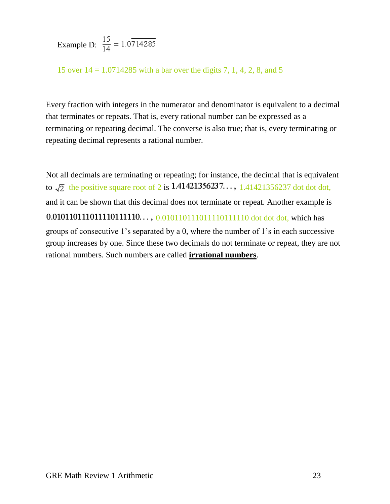Example D:  $\frac{15}{14} = 1.0714285$ 

15 over 14 = 1.0714285 with a bar over the digits 7, 1, 4, 2, 8, and 5

Every fraction with integers in the numerator and denominator is equivalent to a decimal that terminates or repeats. That is, every rational number can be expressed as a terminating or repeating decimal. The converse is also true; that is, every terminating or repeating decimal represents a rational number.

Not all decimals are terminating or repeating; for instance, the decimal that is equivalent to  $\sqrt{2}$  the positive square root of 2 is 1.41421356237..., 1.41421356237 dot dot dot, and it can be shown that this decimal does not terminate or repeat. Another example is 0.01011011110111111110...,  $0.01011011110111110111110$  dot dot dot, which has groups of consecutive 1's separated by a 0, where the number of 1's in each successive group increases by one. Since these two decimals do not terminate or repeat, they are not rational numbers. Such numbers are called **irrational numbers**.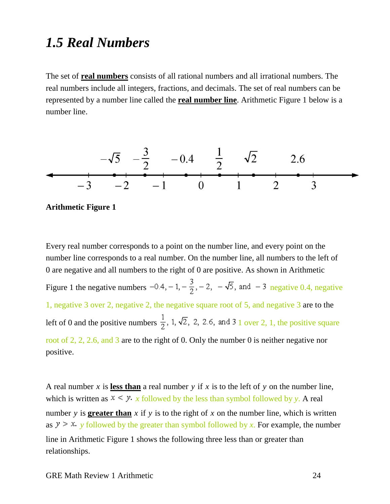## <span id="page-23-0"></span>*1.5 Real Numbers*

The set of **real numbers** consists of all rational numbers and all irrational numbers. The real numbers include all integers, fractions, and decimals. The set of real numbers can be represented by a number line called the **real number line**. Arithmetic Figure 1 below is a number line.





Every real number corresponds to a point on the number line, and every point on the number line corresponds to a real number. On the number line, all numbers to the left of 0 are negative and all numbers to the right of 0 are positive. As shown in Arithmetic Figure 1 the negative numbers  $-0.4, -1, -\frac{3}{2}, -2, -\sqrt{5}$ , and  $-3$  negative 0.4, negative 1, negative 3 over 2, negative 2, the negative square root of 5, and negative 3 are to the left of 0 and the positive numbers  $\frac{1}{2}$ , 1,  $\sqrt{2}$ , 2, 2.6, and 3 1 over 2, 1, the positive square root of 2, 2, 2.6, and 3 are to the right of 0. Only the number 0 is neither negative nor positive.

A real number  $x$  is less than a real number  $y$  if  $x$  is to the left of  $y$  on the number line, which is written as  $x \le y$ . x followed by the less than symbol followed by y. A real number *y* is **greater than** *x* if *y* is to the right of *x* on the number line, which is written as  $y > x$ , y followed by the greater than symbol followed by x. For example, the number line in Arithmetic Figure 1 shows the following three less than or greater than relationships.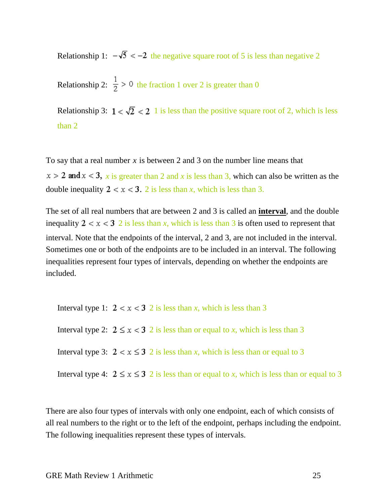Relationship 1:  $-\sqrt{5} < -2$  the negative square root of 5 is less than negative 2

Relationship 2:  $\frac{1}{2}$  > 0 the fraction 1 over 2 is greater than 0

Relationship 3:  $1 < \sqrt{2} < 2$  1 is less than the positive square root of 2, which is less than 2

To say that a real number *x* is between 2 and 3 on the number line means that

 $x > 2$  and  $x < 3$ , *x* is greater than 2 and *x* is less than 3, which can also be written as the double inequality  $2 < x < 3$ . 2 is less than *x*, which is less than 3.

The set of all real numbers that are between 2 and 3 is called an **interval**, and the double inequality  $2 < x < 3$  2 is less than *x*, which is less than 3 is often used to represent that interval. Note that the endpoints of the interval, 2 and 3, are not included in the interval. Sometimes one or both of the endpoints are to be included in an interval. The following inequalities represent four types of intervals, depending on whether the endpoints are included.

Interval type 1:  $2 < x < 3$  2 is less than *x*, which is less than 3 Interval type 2:  $2 \le x < 3$  2 is less than or equal to *x*, which is less than 3 Interval type 3:  $2 < x \le 3$  2 is less than *x*, which is less than or equal to 3 Interval type 4:  $2 \le x \le 3$  2 is less than or equal to *x*, which is less than or equal to 3

There are also four types of intervals with only one endpoint, each of which consists of all real numbers to the right or to the left of the endpoint, perhaps including the endpoint. The following inequalities represent these types of intervals.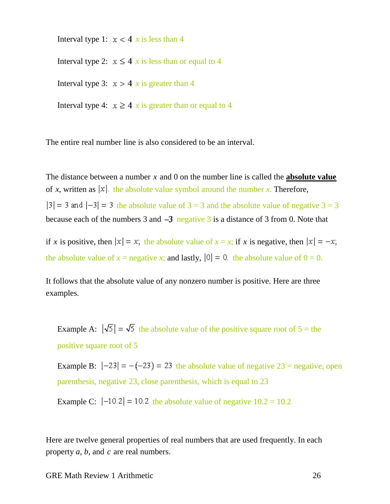Interval type 1:  $x < 4$  x is less than 4

Interval type 2:  $x \le 4$  *x* is less than or equal to 4

Interval type 3:  $x > 4$  *x* is greater than 4

Interval type 4:  $x \ge 4$  *x* is greater than or equal to 4

The entire real number line is also considered to be an interval.

The distance between a number *x* and 0 on the number line is called the **absolute value** of *x*, written as  $|x|$  the absolute value symbol around the number *x*. Therefore,  $|3| = 3$  and  $|-3| = 3$  the absolute value of  $3 = 3$  and the absolute value of negative  $3 = 3$ because each of the numbers 3 and  $-3$  negative 3 is a distance of 3 from 0. Note that

if *x* is positive, then  $|x| = x$ ; the absolute value of  $x = x$ ; if *x* is negative, then  $|x| = -x$ ; the absolute value of  $x =$  negative  $x$ ; and lastly,  $|0| = 0$  the absolute value of  $0 = 0$ .

It follows that the absolute value of any nonzero number is positive. Here are three examples.

Example A:  $|\sqrt{5}| = \sqrt{5}$  the absolute value of the positive square root of  $5 =$  the positive square root of 5

Example B:  $|-23| = -(-23) = 23$  the absolute value of negative  $23$  = negative, open parenthesis, negative 23, close parenthesis, which is equal to 23

Example C:  $|-10.2| = 10.2$  the absolute value of negative  $10.2 = 10.2$ 

Here are twelve general properties of real numbers that are used frequently. In each property *a*, *b*, and *c* are real numbers.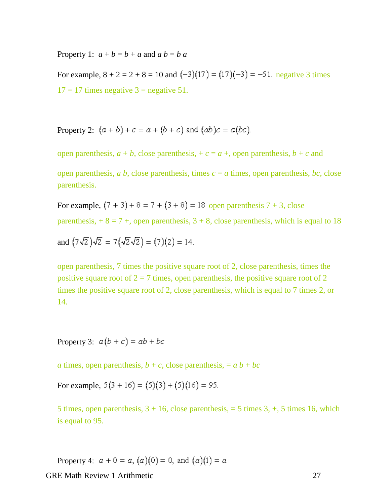Property 1:  $a + b = b + a$  and  $a b = b a$ 

For example,  $8 + 2 = 2 + 8 = 10$  and  $(-3)(17) = (17)(-3) = -51$ . negative 3 times  $17 = 17$  times negative  $3 =$  negative 51.

Property 2:  $(a + b) + c = a + (b + c)$  and  $(ab)c = a(bc)$ .

open parenthesis,  $a + b$ , close parenthesis,  $+c = a +$ , open parenthesis,  $b + c$  and

open parenthesis, *a b*, close parenthesis, times  $c = a$  times, open parenthesis, *bc*, close parenthesis.

For example,  $(7 + 3) + 8 = 7 + (3 + 8) = 18$  open parenthesis  $7 + 3$ , close parenthesis,  $+ 8 = 7 +$ , open parenthesis,  $3 + 8$ , close parenthesis, which is equal to 18

and 
$$
(7\sqrt{2})\sqrt{2} = 7(\sqrt{2}\sqrt{2}) = (7)(2) = 14.
$$

open parenthesis, 7 times the positive square root of 2, close parenthesis, times the positive square root of  $2 = 7$  times, open parenthesis, the positive square root of 2 times the positive square root of 2, close parenthesis, which is equal to 7 times 2, or 14.

Property 3:  $a(b+c) = ab + bc$ 

*a* times, open parenthesis,  $b + c$ , close parenthesis,  $= a b + bc$ 

For example,  $5(3 + 16) = (5)(3) + (5)(16) = 95$ .

5 times, open parenthesis,  $3 + 16$ , close parenthesis,  $= 5$  times  $3, +$ , 5 times 16, which is equal to 95.

Property 4:  $a + 0 = a$ ,  $(a)(0) = 0$ , and  $(a)(1) = a$ .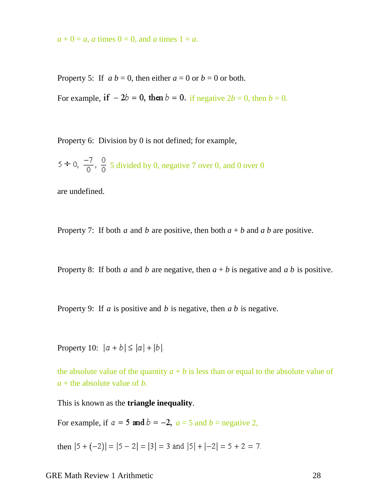$a + 0 = a$ , *a* times  $0 = 0$ , and *a* times  $1 = a$ .

Property 5: If  $a b = 0$ , then either  $a = 0$  or  $b = 0$  or both.

For example, if  $-2b = 0$ , then  $b = 0$ . if negative  $2b = 0$ , then  $b = 0$ .

Property 6: Division by 0 is not defined; for example,

 $5 \div 0$ ,  $\frac{-7}{0}$ ,  $\frac{0}{0}$  5 divided by 0, negative 7 over 0, and 0 over 0

are undefined.

Property 7: If both *a* and *b* are positive, then both  $a + b$  and  $a b$  are positive.

Property 8: If both *a* and *b* are negative, then  $a + b$  is negative and *a b* is positive.

Property 9: If *a* is positive and *b* is negative, then *a b* is negative.

Property 10:  $|a + b| \le |a| + |b|$ .

the absolute value of the quantity  $a + b$  is less than or equal to the absolute value of *a* + the absolute value of *b*.

This is known as the **triangle inequality**.

For example, if  $a = 5$  and  $b = -2$ ,  $a = 5$  and  $b =$  negative 2,

then  $|5 + (-2)| = |5 - 2| = |3| = 3$  and  $|5| + |-2| = 5 + 2 = 7$ .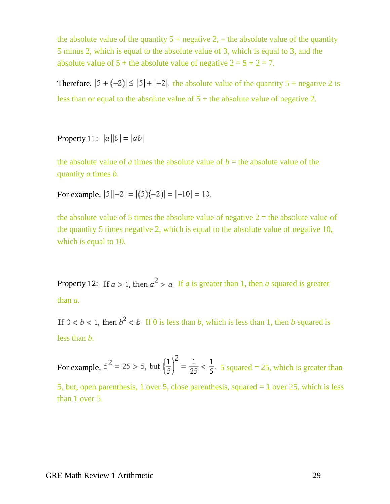the absolute value of the quantity  $5 +$  negative  $2$ , = the absolute value of the quantity 5 minus 2, which is equal to the absolute value of 3, which is equal to 3, and the absolute value of  $5 +$  the absolute value of negative  $2 = 5 + 2 = 7$ .

Therefore,  $|5 + (-2)| \le |5| + |-2|$  the absolute value of the quantity  $5 +$  negative 2 is less than or equal to the absolute value of  $5 +$  the absolute value of negative 2.

Property 11:  $|a||b| = |ab|$ .

the absolute value of *a* times the absolute value of  $b =$  the absolute value of the quantity *a* times *b*.

For example,  $|5||-2| = |(5)(-2)| = |-10| = 10$ .

the absolute value of 5 times the absolute value of negative  $2 =$  the absolute value of the quantity 5 times negative 2, which is equal to the absolute value of negative 10, which is equal to 10.

Property 12: If  $a > 1$ , then  $a^2 > a$ . If *a* is greater than 1, then *a* squared is greater than *a*.

If  $0 < b < 1$ , then  $b^2 < b$ . If 0 is less than *b*, which is less than 1, then *b* squared is less than *b*.

For example,  $5^2 = 25 > 5$ , but  $\left(\frac{1}{5}\right)^2 = \frac{1}{25} < \frac{1}{5}$ . 5 squared = 25, which is greater than 5, but, open parenthesis, 1 over 5, close parenthesis, squared = 1 over 25, which is less than 1 over 5.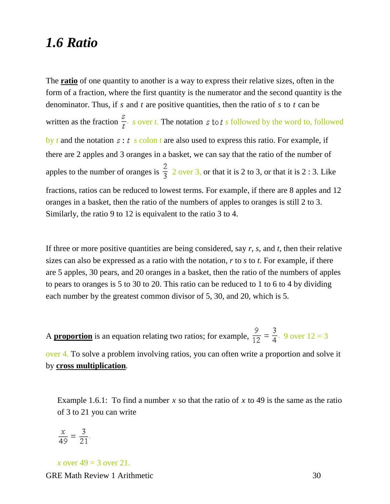### <span id="page-29-0"></span>*1.6 Ratio*

The **ratio** of one quantity to another is a way to express their relative sizes, often in the form of a fraction, where the first quantity is the numerator and the second quantity is the denominator. Thus, if *s* and *t* are positive quantities, then the ratio of *s* to *t* can be written as the fraction  $\frac{s}{t}$  *s* over *t*. The notation *s* to *t s* followed by the word to, followed by *t* and the notation  $s : t \text{ s colon } t$  are also used to express this ratio. For example, if there are 2 apples and 3 oranges in a basket, we can say that the ratio of the number of apples to the number of oranges is  $\frac{2}{3}$  2 over 3, or that it is 2 to 3, or that it is 2 : 3. Like fractions, ratios can be reduced to lowest terms. For example, if there are 8 apples and 12 oranges in a basket, then the ratio of the numbers of apples to oranges is still 2 to 3. Similarly, the ratio 9 to 12 is equivalent to the ratio 3 to 4.

If three or more positive quantities are being considered, say *r*, *s*, and *t*, then their relative sizes can also be expressed as a ratio with the notation, *r* to *s* to *t*. For example, if there are 5 apples, 30 pears, and 20 oranges in a basket, then the ratio of the numbers of apples to pears to oranges is 5 to 30 to 20. This ratio can be reduced to 1 to 6 to 4 by dividing each number by the greatest common divisor of 5, 30, and 20, which is 5.

A **proportion** is an equation relating two ratios; for example,  $\frac{9}{12} = \frac{3}{4}$ . 9 over 12 = 3

over 4. To solve a problem involving ratios, you can often write a proportion and solve it by **cross multiplication***.*

Example 1.6.1: To find a number  $x$  so that the ratio of  $x$  to 49 is the same as the ratio of 3 to 21 you can write

$$
\frac{x}{49} = \frac{3}{21}.
$$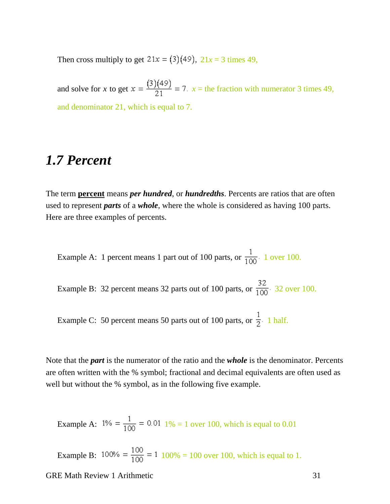Then cross multiply to get  $21x = (3)(49)$ ,  $21x = 3$  times 49,

and solve for *x* to get  $x = \frac{(3)(49)}{21} = 7$ .  $x =$  the fraction with numerator 3 times 49, and denominator 21, which is equal to 7.

## <span id="page-30-0"></span>*1.7 Percent*

The term **percent** means *per hundred*, or *hundredths*. Percents are ratios that are often used to represent *parts* of a *whole*, where the whole is considered as having 100 parts. Here are three examples of percents.

Example A: 1 percent means 1 part out of 100 parts, or  $\frac{1}{100}$ . 1 over 100.

Example B: 32 percent means 32 parts out of 100 parts, or  $\frac{32}{100}$ . 32 over 100.

Example C: 50 percent means 50 parts out of 100 parts, or  $\frac{1}{2}$ . 1 half.

Note that the *part* is the numerator of the ratio and the *whole* is the denominator. Percents are often written with the % symbol; fractional and decimal equivalents are often used as well but without the % symbol, as in the following five example.

Example A:  $1\% = \frac{1}{100} = 0.01$   $1\% = 1$  over 100, which is equal to 0.01

Example B:  $100\% = \frac{100}{100} = 1$  100% = 100 over 100, which is equal to 1.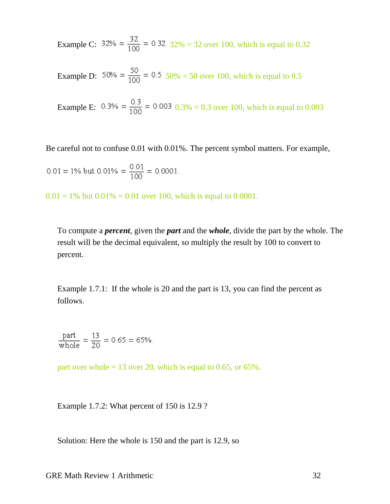Example C:  $32\% = \frac{32}{100} = 0.32$   $32\% = 32$  over 100, which is equal to 0.32

Example D:  $50\% = \frac{50}{100} = 0.5$  50% = 50 over 100, which is equal to 0.5

Example E:  $0.3\% = \frac{0.3}{100} = 0.003$   $0.3\% = 0.3$  over 100, which is equal to 0.003

Be careful not to confuse 0.01 with 0.01%. The percent symbol matters. For example,

$$
0.01 = 1\% \text{ but } 0.01\% = \frac{0.01}{100} = 0.0001.
$$

 $0.01 = 1\%$  but  $0.01\% = 0.01$  over 100, which is equal to 0.0001.

To compute a *percent*, given the *part* and the *whole*, divide the part by the whole. The result will be the decimal equivalent, so multiply the result by 100 to convert to percent.

Example 1.7.1: If the whole is 20 and the part is 13, you can find the percent as follows.

$$
\frac{\text{part}}{\text{whole}} = \frac{13}{20} = 0.65 = 65\%.
$$

part over whole  $= 13$  over 20, which is equal to 0.65, or 65%.

Example 1.7.2: What percent of 150 is 12.9 ?

Solution: Here the whole is 150 and the part is 12.9, so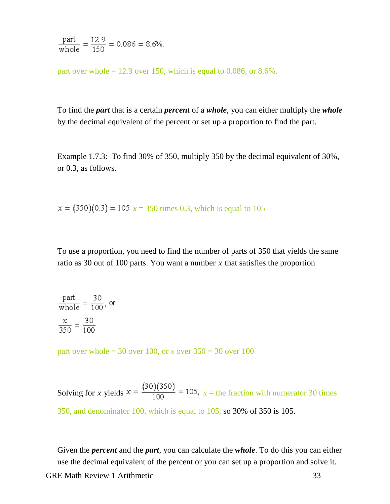$$
\frac{\text{part}}{\text{whole}} = \frac{12.9}{150} = 0.086 = 8.6\%.
$$

part over whole  $= 12.9$  over 150, which is equal to 0.086, or 8.6%.

To find the *part* that is a certain *percent* of a *whole*, you can either multiply the *whole* by the decimal equivalent of the percent or set up a proportion to find the part.

Example 1.7.3: To find 30% of 350, multiply 350 by the decimal equivalent of 30%, or 0.3, as follows.

 $x = (350)(0.3) = 105$   $x = 350$  times 0.3, which is equal to 105

To use a proportion, you need to find the number of parts of 350 that yields the same ratio as 30 out of 100 parts. You want a number *x* that satisfies the proportion

$$
\frac{\text{part}}{\text{whole}} = \frac{30}{100}, \text{ or}
$$

$$
\frac{x}{350} = \frac{30}{100}
$$

part over whole = 30 over 100, or *x* over 350 = 30 over 100

Solving for *x* yields  $x = \frac{(30)(350)}{100} = 105$ ,  $x =$  the fraction with numerator 30 times 350, and denominator 100, which is equal to 105, so 30% of 350 is 105.

Given the *percent* and the *part*, you can calculate the *whole*. To do this you can either use the decimal equivalent of the percent or you can set up a proportion and solve it.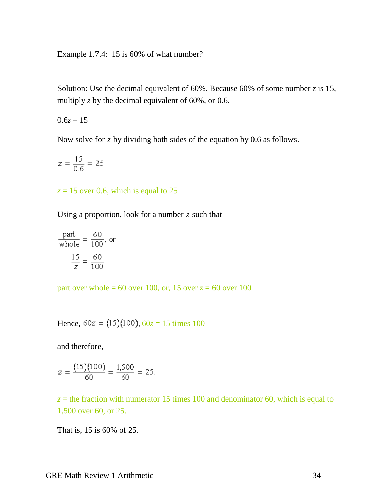Example 1.7.4: 15 is 60% of what number?

Solution: Use the decimal equivalent of  $60\%$ . Because  $60\%$  of some number *z* is 15, multiply  $z$  by the decimal equivalent of 60%, or 0.6.

 $0.6z = 15$ 

Now solve for *z* by dividing both sides of the equation by 0.6 as follows.

$$
z = \frac{15}{0.6} = 25
$$

 $z = 15$  over 0.6, which is equal to 25

Using a proportion, look for a number *z* such that

$$
\frac{\text{part}}{\text{whole}} = \frac{60}{100}, \text{ or}
$$

$$
\frac{15}{z} = \frac{60}{100}
$$

part over whole = 60 over 100, or, 15 over  $z = 60$  over 100

Hence,  $60z = (15)(100)$ ,  $60z = 15$  times 100

and therefore,

$$
z = \frac{(15)(100)}{60} = \frac{1,500}{60} = 25.
$$

 $z =$  the fraction with numerator 15 times 100 and denominator 60, which is equal to 1,500 over 60, or 25.

That is, 15 is 60% of 25.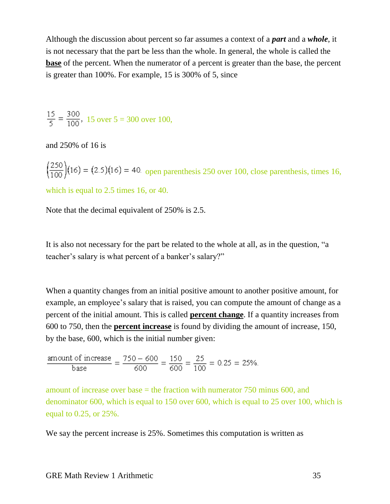Although the discussion about percent so far assumes a context of a *part* and a *whole*, it is not necessary that the part be less than the whole. In general, the whole is called the **base** of the percent. When the numerator of a percent is greater than the base, the percent is greater than 100%. For example, 15 is 300% of 5, since

$$
\frac{15}{5} = \frac{300}{100}
$$
, 15 over 5 = 300 over 100,

and 250% of 16 is

 $\left(\frac{250}{100}\right)$ (16) = (2.5)(16) = 40. open parenthesis 250 over 100, close parenthesis, times 16,

which is equal to 2.5 times 16, or 40.

Note that the decimal equivalent of 250% is 2.5.

It is also not necessary for the part be related to the whole at all, as in the question, "a teacher's salary is what percent of a banker's salary?"

When a quantity changes from an initial positive amount to another positive amount, for example, an employee's salary that is raised, you can compute the amount of change as a percent of the initial amount. This is called **percent change**. If a quantity increases from 600 to 750, then the **percent increase** is found by dividing the amount of increase, 150, by the base, 600, which is the initial number given:

$$
\frac{\text{amount of increase}}{\text{base}} = \frac{750 - 600}{600} = \frac{150}{600} = \frac{25}{100} = 0.25 = 25\%.
$$

amount of increase over base  $=$  the fraction with numerator 750 minus 600, and denominator 600, which is equal to 150 over 600, which is equal to 25 over 100, which is equal to 0.25, or 25%.

We say the percent increase is 25%. Sometimes this computation is written as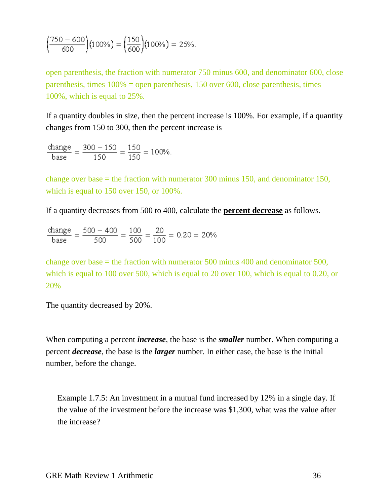$$
\left(\frac{750 - 600}{600}\right)(100\%) = \left(\frac{150}{600}\right)(100\%) = 25\%.
$$

open parenthesis, the fraction with numerator 750 minus 600, and denominator 600, close parenthesis, times 100% = open parenthesis, 150 over 600, close parenthesis, times 100%, which is equal to 25%.

If a quantity doubles in size, then the percent increase is 100%. For example, if a quantity changes from 150 to 300, then the percent increase is

$$
\frac{\text{change}}{\text{base}} = \frac{300 - 150}{150} = \frac{150}{150} = 100\%.
$$

change over base = the fraction with numerator 300 minus 150, and denominator 150, which is equal to 150 over 150, or 100%.

If a quantity decreases from 500 to 400, calculate the **percent decrease** as follows.

$$
\frac{\text{change}}{\text{base}} = \frac{500 - 400}{500} = \frac{100}{500} = \frac{20}{100} = 0.20 = 20\%
$$

change over base = the fraction with numerator 500 minus 400 and denominator 500, which is equal to 100 over 500, which is equal to 20 over 100, which is equal to 0.20, or 20%

The quantity decreased by 20%.

When computing a percent *increase*, the base is the *smaller* number. When computing a percent *decrease*, the base is the *larger* number. In either case, the base is the initial number, before the change.

Example 1.7.5: An investment in a mutual fund increased by 12% in a single day. If the value of the investment before the increase was \$1,300, what was the value after the increase?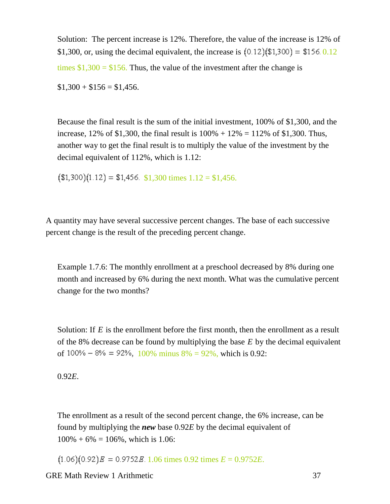Solution: The percent increase is 12%. Therefore, the value of the increase is 12% of \$1,300, or, using the decimal equivalent, the increase is  $(0.12)(\$1,300) = \$156.0.12$ times  $$1,300 = $156$ . Thus, the value of the investment after the change is

 $$1,300 + $156 = $1,456.$ 

Because the final result is the sum of the initial investment, 100% of \$1,300, and the increase, 12% of \$1,300, the final result is  $100\% + 12\% = 112\%$  of \$1,300. Thus, another way to get the final result is to multiply the value of the investment by the decimal equivalent of 112%, which is 1.12:

 $($1,300)(1.12) = $1,456$ . \$1,300 times  $1.12 = $1,456$ .

A quantity may have several successive percent changes. The base of each successive percent change is the result of the preceding percent change.

Example 1.7.6: The monthly enrollment at a preschool decreased by 8% during one month and increased by 6% during the next month. What was the cumulative percent change for the two months?

Solution: If *E* is the enrollment before the first month, then the enrollment as a result of the 8% decrease can be found by multiplying the base *E* by the decimal equivalent of  $100\% - 8\% = 92\%$ ,  $100\%$  minus  $8\% = 92\%$ , which is 0.92:

0.92*E*.

The enrollment as a result of the second percent change, the 6% increase, can be found by multiplying the *new* base 0.92*E* by the decimal equivalent of  $100\% + 6\% = 106\%$ , which is 1.06:

 $(1.06)(0.92)E = 0.9752E$ . 1.06 times 0.92 times  $E = 0.9752E$ .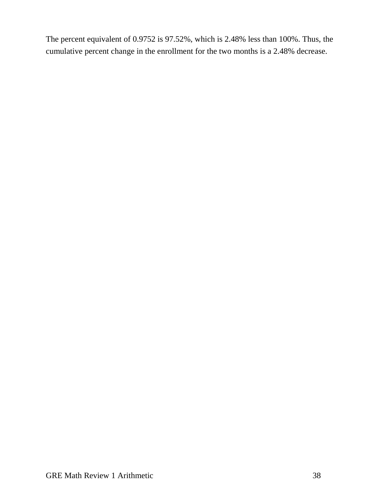The percent equivalent of 0.9752 is 97.52%, which is 2.48% less than 100%. Thus, the cumulative percent change in the enrollment for the two months is a 2.48% decrease.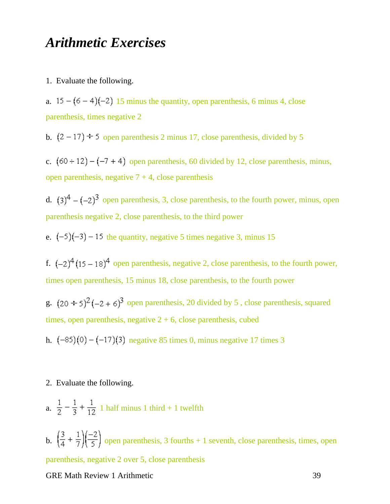### <span id="page-38-0"></span>*Arithmetic Exercises*

1. Evaluate the following.

a.  $15 - (6 - 4)(-2)$  15 minus the quantity, open parenthesis, 6 minus 4, close parenthesis, times negative 2

b.  $(2 - 17) \div 5$  open parenthesis 2 minus 17, close parenthesis, divided by 5

c.  $(60 \div 12) - (-7 + 4)$  open parenthesis, 60 divided by 12, close parenthesis, minus, open parenthesis, negative  $7 + 4$ , close parenthesis

d.  $(3)^4 - (-2)^3$  open parenthesis, 3, close parenthesis, to the fourth power, minus, open parenthesis negative 2, close parenthesis, to the third power

e.  $(-5)(-3) - 15$  the quantity, negative 5 times negative 3, minus 15

f.  $(-2)^4 (15 - 18)^4$  open parenthesis, negative 2, close parenthesis, to the fourth power, times open parenthesis, 15 minus 18, close parenthesis, to the fourth power

g.  $(20 \div 5)^2(-2 + 6)^3$  open parenthesis, 20 divided by 5, close parenthesis, squared times, open parenthesis, negative  $2 + 6$ , close parenthesis, cubed

h.  $(-85)(0) - (-17)(3)$  negative 85 times 0, minus negative 17 times 3

#### 2. Evaluate the following.

a.  $\frac{1}{2} - \frac{1}{3} + \frac{1}{12}$  1 half minus 1 third + 1 twelfth

b.  $\left(\frac{3}{4} + \frac{1}{7}\right)\left(\frac{-2}{5}\right)$  open parenthesis, 3 fourths + 1 seventh, close parenthesis, times, open parenthesis, negative 2 over 5, close parenthesis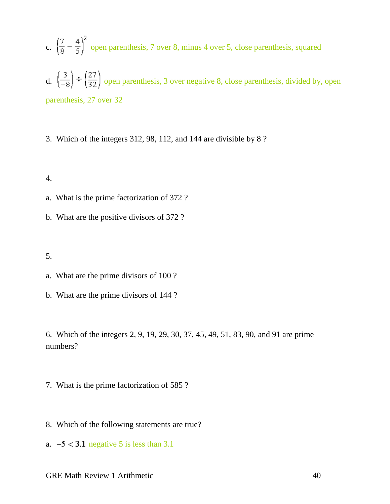- c.  $\left(\frac{7}{8} \frac{4}{5}\right)^2$  open parenthesis, 7 over 8, minus 4 over 5, close parenthesis, squared
- d.  $\left(\frac{3}{-8}\right) \div \left(\frac{27}{32}\right)$  open parenthesis, 3 over negative 8, close parenthesis, divided by, open parenthesis, 27 over 32
- 3. Which of the integers 312, 98, 112, and 144 are divisible by 8 ?

4.

- a. What is the prime factorization of 372 ?
- b. What are the positive divisors of 372 ?

5.

- a. What are the prime divisors of 100 ?
- b. What are the prime divisors of 144 ?

6. Which of the integers 2, 9, 19, 29, 30, 37, 45, 49, 51, 83, 90, and 91 are prime numbers?

- 7. What is the prime factorization of 585 ?
- 8. Which of the following statements are true?
- a.  $-5 < 3.1$  negative 5 is less than 3.1
- GRE Math Review 1 Arithmetic 40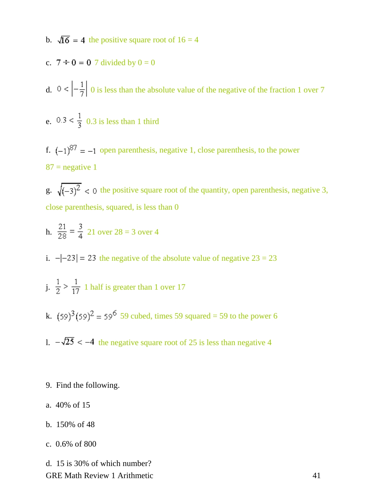- b.  $\sqrt{16}$  = 4 the positive square root of 16 = 4
- c.  $7 \div 0 = 0$  7 divided by  $0 = 0$
- d.  $0 < \left| -\frac{1}{7} \right|$  0 is less than the absolute value of the negative of the fraction 1 over 7
- e.  $0.3 < \frac{1}{3}$  0.3 is less than 1 third
- f.  $(-1)^{87} = -1$  open parenthesis, negative 1, close parenthesis, to the power  $87$  = negative 1

g.  $\sqrt{(-3)^2}$  < 0 the positive square root of the quantity, open parenthesis, negative 3, close parenthesis, squared, is less than 0

- h.  $\frac{21}{28} = \frac{3}{4}$  21 over 28 = 3 over 4
- i.  $-|-23| = 23$  the negative of the absolute value of negative  $23 = 23$
- j.  $\frac{1}{2}$  >  $\frac{1}{17}$  1 half is greater than 1 over 17
- k.  $(59)^3 (59)^2 = 59^6 59$  cubed, times 59 squared = 59 to the power 6
- 1.  $-\sqrt{25}$  < -4 the negative square root of 25 is less than negative 4
- 9. Find the following.
- a. 40% of 15
- b. 150% of 48
- c. 0.6% of 800

GRE Math Review 1 Arithmetic 41 d. 15 is 30% of which number?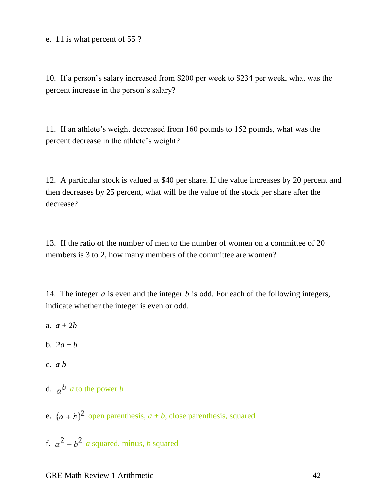#### e. 11 is what percent of 55 ?

10. If a person's salary increased from \$200 per week to \$234 per week, what was the percent increase in the person's salary?

11. If an athlete's weight decreased from 160 pounds to 152 pounds, what was the percent decrease in the athlete's weight?

12. A particular stock is valued at \$40 per share. If the value increases by 20 percent and then decreases by 25 percent, what will be the value of the stock per share after the decrease?

13. If the ratio of the number of men to the number of women on a committee of 20 members is 3 to 2, how many members of the committee are women?

14. The integer *a* is even and the integer *b* is odd. For each of the following integers, indicate whether the integer is even or odd.

- a.  $a + 2b$
- b. 2*a* + *b*
- c. *a b*
- d.  $a^b$  *a* to the power *b*
- e.  $(a + b)^2$  open parenthesis,  $a + b$ , close parenthesis, squared
- f.  $a^2 b^2$  *a* squared, minus, *b* squared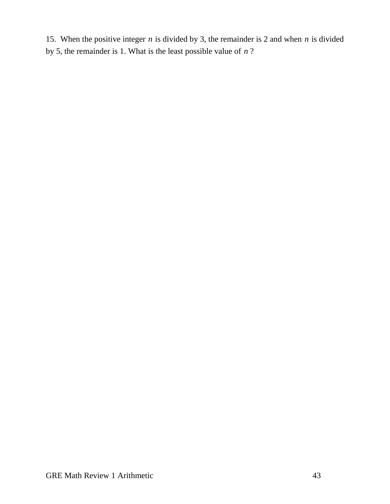15. When the positive integer *n* is divided by 3, the remainder is 2 and when *n* is divided by 5, the remainder is 1. What is the least possible value of *n* ?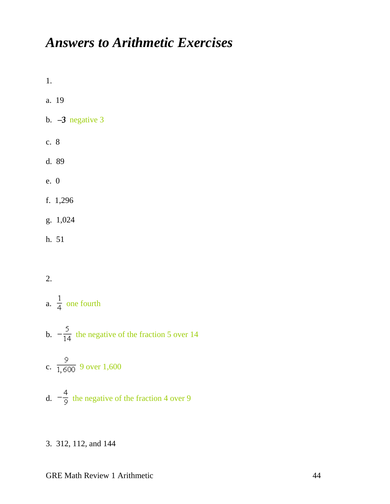# <span id="page-43-0"></span>*Answers to Arithmetic Exercises*

1.

- a. 19
- b.  $-3$  negative 3
- c. 8
- d. 89
- e. 0
- f. 1,296
- g. 1,024
- h. 51

#### 2.

- a.  $\frac{1}{4}$  one fourth
- b.  $-\frac{5}{14}$  the negative of the fraction 5 over 14
- c.  $\frac{9}{1,600}$  9 over 1,600
- d.  $-\frac{4}{9}$  the negative of the fraction 4 over 9
- 3. 312, 112, and 144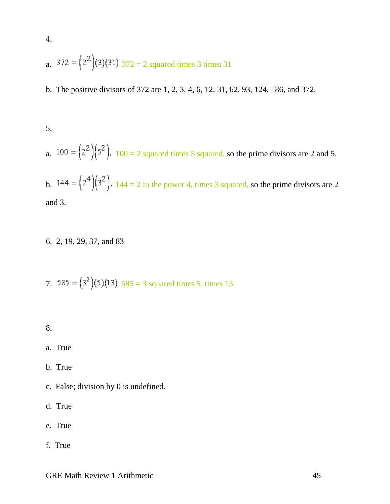a. 
$$
372 = (2^2)(3)(31) \cdot 372 = 2
$$
 squared times 3 times 31

b. The positive divisors of 372 are 1, 2, 3, 4, 6, 12, 31, 62, 93, 124, 186, and 372.

5.

4.

a.  $100 = (2^2)(5^2)$ ,  $100 = 2$  squared times 5 squared, so the prime divisors are 2 and 5.

b.  $144 = (2^4)(3^2)$ ,  $144 = 2$  to the power 4, times 3 squared, so the prime divisors are 2 and 3.

6. 2, 19, 29, 37, and 83

7. 585 = 
$$
(3^2)(5)(13)
$$
 585 = 3 squared times 5, times 13

8.

- a. True
- b. True
- c. False; division by 0 is undefined.
- d. True
- e. True
- f. True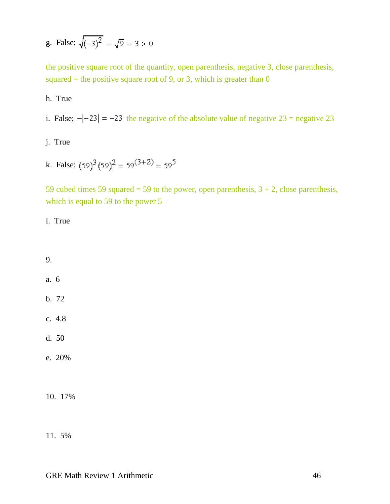g. False;  $\sqrt{(-3)^2} = \sqrt{9} = 3 > 0$ 

the positive square root of the quantity, open parenthesis, negative 3, close parenthesis, squared = the positive square root of 9, or 3, which is greater than  $0$ 

h. True

i. False;  $-|-23| = -23$  the negative of the absolute value of negative  $23$  = negative 23

j. True

k. False;  $(59)^3 (59)^2 = 59^{(3+2)} = 59^5$ 

59 cubed times 59 squared = 59 to the power, open parenthesis,  $3 + 2$ , close parenthesis, which is equal to 59 to the power 5

l. True

9. a. 6 b. 72 c. 4.8 d. 50 e. 20%

10. 17%

11. 5%